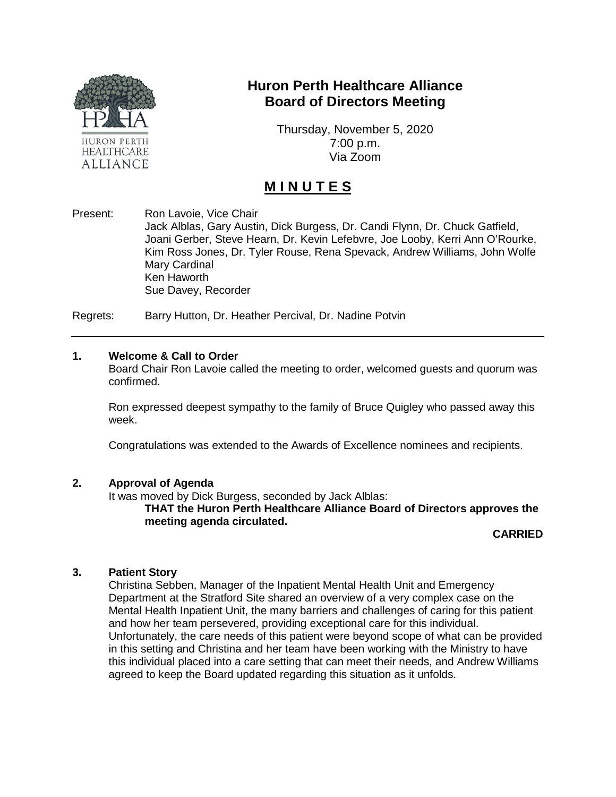

# **Huron Perth Healthcare Alliance Board of Directors Meeting**

Thursday, November 5, 2020 7:00 p.m. Via Zoom

# **M I N U T E S**

Present: Ron Lavoie, Vice Chair Jack Alblas, Gary Austin, Dick Burgess, Dr. Candi Flynn, Dr. Chuck Gatfield, Joani Gerber, Steve Hearn, Dr. Kevin Lefebvre, Joe Looby, Kerri Ann O'Rourke, Kim Ross Jones, Dr. Tyler Rouse, Rena Spevack, Andrew Williams, John Wolfe Mary Cardinal Ken Haworth Sue Davey, Recorder

Regrets: Barry Hutton, Dr. Heather Percival, Dr. Nadine Potvin

#### **1. Welcome & Call to Order**

Board Chair Ron Lavoie called the meeting to order, welcomed guests and quorum was confirmed.

Ron expressed deepest sympathy to the family of Bruce Quigley who passed away this week.

Congratulations was extended to the Awards of Excellence nominees and recipients.

#### **2. Approval of Agenda**

It was moved by Dick Burgess, seconded by Jack Alblas:

**THAT the Huron Perth Healthcare Alliance Board of Directors approves the meeting agenda circulated.**

**CARRIED**

#### **3. Patient Story**

Christina Sebben, Manager of the Inpatient Mental Health Unit and Emergency Department at the Stratford Site shared an overview of a very complex case on the Mental Health Inpatient Unit, the many barriers and challenges of caring for this patient and how her team persevered, providing exceptional care for this individual. Unfortunately, the care needs of this patient were beyond scope of what can be provided in this setting and Christina and her team have been working with the Ministry to have this individual placed into a care setting that can meet their needs, and Andrew Williams agreed to keep the Board updated regarding this situation as it unfolds.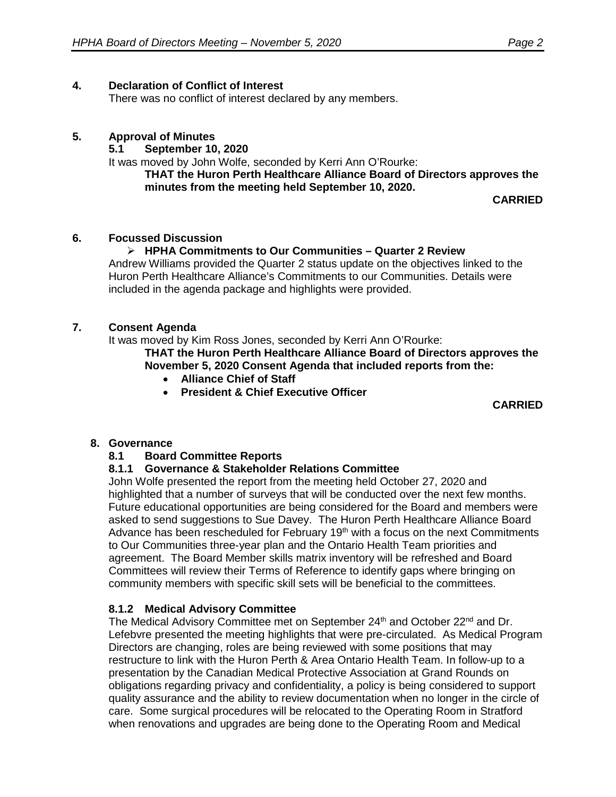# **4. Declaration of Conflict of Interest**

There was no conflict of interest declared by any members.

# **5. Approval of Minutes**

# **5.1 September 10, 2020**

It was moved by John Wolfe, seconded by Kerri Ann O'Rourke:

**THAT the Huron Perth Healthcare Alliance Board of Directors approves the minutes from the meeting held September 10, 2020.**

**CARRIED**

# **6. Focussed Discussion**

# **HPHA Commitments to Our Communities – Quarter 2 Review**

Andrew Williams provided the Quarter 2 status update on the objectives linked to the Huron Perth Healthcare Alliance's Commitments to our Communities. Details were included in the agenda package and highlights were provided.

#### **7. Consent Agenda**

It was moved by Kim Ross Jones, seconded by Kerri Ann O'Rourke:

**THAT the Huron Perth Healthcare Alliance Board of Directors approves the November 5, 2020 Consent Agenda that included reports from the:**

- **Alliance Chief of Staff**
- **President & Chief Executive Officer**

**CARRIED**

# **8. Governance**

#### **8.1 Board Committee Reports**

#### **8.1.1 Governance & Stakeholder Relations Committee**

John Wolfe presented the report from the meeting held October 27, 2020 and highlighted that a number of surveys that will be conducted over the next few months. Future educational opportunities are being considered for the Board and members were asked to send suggestions to Sue Davey. The Huron Perth Healthcare Alliance Board Advance has been rescheduled for February  $19<sup>th</sup>$  with a focus on the next Commitments to Our Communities three-year plan and the Ontario Health Team priorities and agreement. The Board Member skills matrix inventory will be refreshed and Board Committees will review their Terms of Reference to identify gaps where bringing on community members with specific skill sets will be beneficial to the committees.

#### **8.1.2 Medical Advisory Committee**

The Medical Advisory Committee met on September 24<sup>th</sup> and October 22<sup>nd</sup> and Dr. Lefebvre presented the meeting highlights that were pre-circulated. As Medical Program Directors are changing, roles are being reviewed with some positions that may restructure to link with the Huron Perth & Area Ontario Health Team. In follow-up to a presentation by the Canadian Medical Protective Association at Grand Rounds on obligations regarding privacy and confidentiality, a policy is being considered to support quality assurance and the ability to review documentation when no longer in the circle of care. Some surgical procedures will be relocated to the Operating Room in Stratford when renovations and upgrades are being done to the Operating Room and Medical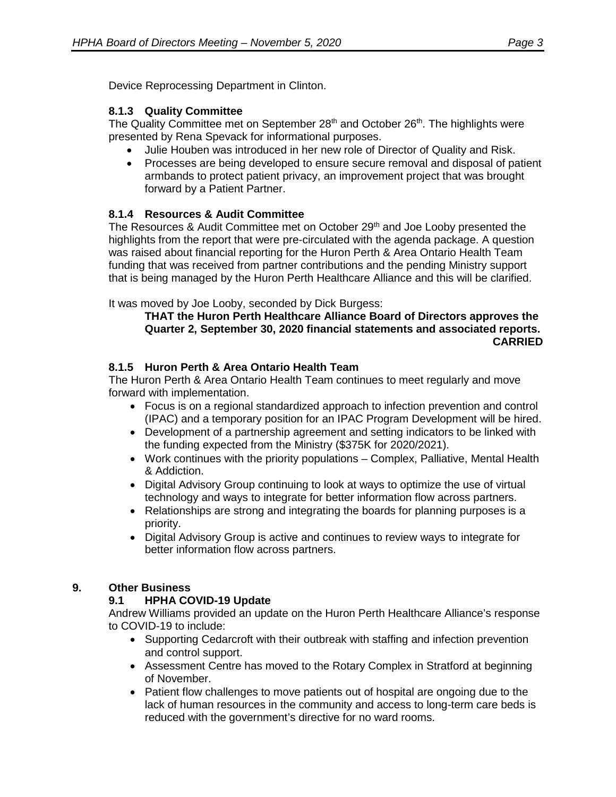Device Reprocessing Department in Clinton.

# **8.1.3 Quality Committee**

The Quality Committee met on September 28<sup>th</sup> and October 26<sup>th</sup>. The highlights were presented by Rena Spevack for informational purposes.

- Julie Houben was introduced in her new role of Director of Quality and Risk.
- Processes are being developed to ensure secure removal and disposal of patient armbands to protect patient privacy, an improvement project that was brought forward by a Patient Partner.

# **8.1.4 Resources & Audit Committee**

The Resources & Audit Committee met on October 29<sup>th</sup> and Joe Looby presented the highlights from the report that were pre-circulated with the agenda package. A question was raised about financial reporting for the Huron Perth & Area Ontario Health Team funding that was received from partner contributions and the pending Ministry support that is being managed by the Huron Perth Healthcare Alliance and this will be clarified.

It was moved by Joe Looby, seconded by Dick Burgess:

#### **THAT the Huron Perth Healthcare Alliance Board of Directors approves the Quarter 2, September 30, 2020 financial statements and associated reports. CARRIED**

# **8.1.5 Huron Perth & Area Ontario Health Team**

The Huron Perth & Area Ontario Health Team continues to meet regularly and move forward with implementation.

- Focus is on a regional standardized approach to infection prevention and control (IPAC) and a temporary position for an IPAC Program Development will be hired.
- Development of a partnership agreement and setting indicators to be linked with the funding expected from the Ministry (\$375K for 2020/2021).
- Work continues with the priority populations Complex, Palliative, Mental Health & Addiction.
- Digital Advisory Group continuing to look at ways to optimize the use of virtual technology and ways to integrate for better information flow across partners.
- Relationships are strong and integrating the boards for planning purposes is a priority.
- Digital Advisory Group is active and continues to review ways to integrate for better information flow across partners.

#### **9. Other Business**

# **9.1 HPHA COVID-19 Update**

Andrew Williams provided an update on the Huron Perth Healthcare Alliance's response to COVID-19 to include:

- Supporting Cedarcroft with their outbreak with staffing and infection prevention and control support.
- Assessment Centre has moved to the Rotary Complex in Stratford at beginning of November.
- Patient flow challenges to move patients out of hospital are ongoing due to the lack of human resources in the community and access to long-term care beds is reduced with the government's directive for no ward rooms.